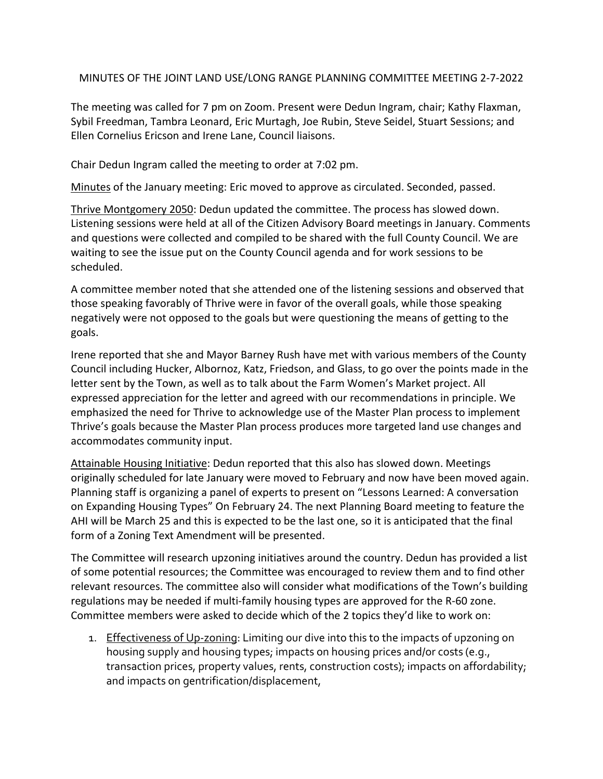MINUTES OF THE JOINT LAND USE/LONG RANGE PLANNING COMMITTEE MEETING 2-7-2022

The meeting was called for 7 pm on Zoom. Present were Dedun Ingram, chair; Kathy Flaxman, Sybil Freedman, Tambra Leonard, Eric Murtagh, Joe Rubin, Steve Seidel, Stuart Sessions; and Ellen Cornelius Ericson and Irene Lane, Council liaisons.

Chair Dedun Ingram called the meeting to order at 7:02 pm.

Minutes of the January meeting: Eric moved to approve as circulated. Seconded, passed.

Thrive Montgomery 2050: Dedun updated the committee. The process has slowed down. Listening sessions were held at all of the Citizen Advisory Board meetings in January. Comments and questions were collected and compiled to be shared with the full County Council. We are waiting to see the issue put on the County Council agenda and for work sessions to be scheduled.

A committee member noted that she attended one of the listening sessions and observed that those speaking favorably of Thrive were in favor of the overall goals, while those speaking negatively were not opposed to the goals but were questioning the means of getting to the goals.

Irene reported that she and Mayor Barney Rush have met with various members of the County Council including Hucker, Albornoz, Katz, Friedson, and Glass, to go over the points made in the letter sent by the Town, as well as to talk about the Farm Women's Market project. All expressed appreciation for the letter and agreed with our recommendations in principle. We emphasized the need for Thrive to acknowledge use of the Master Plan process to implement Thrive's goals because the Master Plan process produces more targeted land use changes and accommodates community input.

Attainable Housing Initiative: Dedun reported that this also has slowed down. Meetings originally scheduled for late January were moved to February and now have been moved again. Planning staff is organizing a panel of experts to present on "Lessons Learned: A conversation on Expanding Housing Types" On February 24. The next Planning Board meeting to feature the AHI will be March 25 and this is expected to be the last one, so it is anticipated that the final form of a Zoning Text Amendment will be presented.

The Committee will research upzoning initiatives around the country. Dedun has provided a list of some potential resources; the Committee was encouraged to review them and to find other relevant resources. The committee also will consider what modifications of the Town's building regulations may be needed if multi-family housing types are approved for the R-60 zone. Committee members were asked to decide which of the 2 topics they'd like to work on:

1. Effectiveness of Up-zoning: Limiting our dive into this to the impacts of upzoning on housing supply and housing types; impacts on housing prices and/or costs (e.g., transaction prices, property values, rents, construction costs); impacts on affordability; and impacts on gentrification/displacement,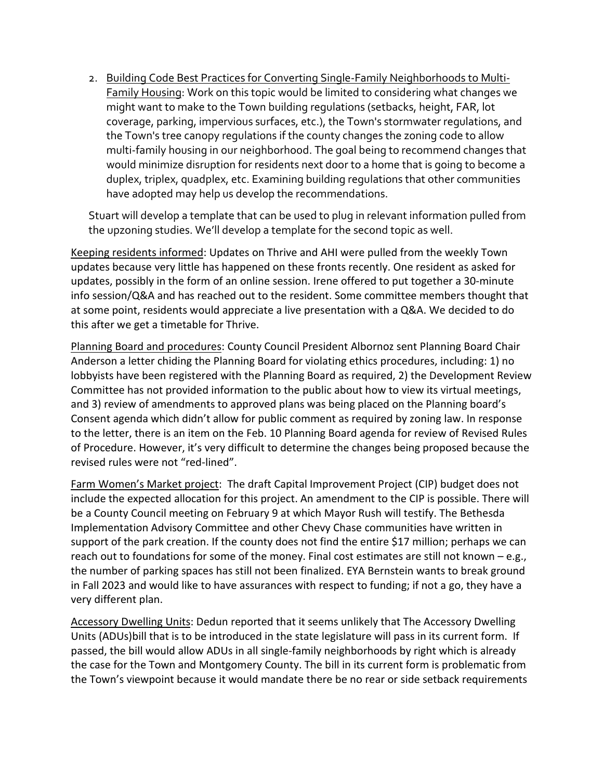2. Building Code Best Practices for Converting Single-Family Neighborhoods to Multi-Family Housing: Work on this topic would be limited to considering what changes we might want to make to the Town building regulations (setbacks, height, FAR, lot coverage, parking, impervious surfaces, etc.), the Town's stormwater regulations, and the Town's tree canopy regulations if the county changes the zoning code to allow multi-family housing in our neighborhood. The goal being to recommend changes that would minimize disruption for residents next door to a home that is going to become a duplex, triplex, quadplex, etc. Examining building regulations that other communities have adopted may help us develop the recommendations.

Stuart will develop a template that can be used to plug in relevant information pulled from the upzoning studies. We'll develop a template for the second topic as well.

Keeping residents informed: Updates on Thrive and AHI were pulled from the weekly Town updates because very little has happened on these fronts recently. One resident as asked for updates, possibly in the form of an online session. Irene offered to put together a 30-minute info session/Q&A and has reached out to the resident. Some committee members thought that at some point, residents would appreciate a live presentation with a Q&A. We decided to do this after we get a timetable for Thrive.

Planning Board and procedures: County Council President Albornoz sent Planning Board Chair Anderson a letter chiding the Planning Board for violating ethics procedures, including: 1) no lobbyists have been registered with the Planning Board as required, 2) the Development Review Committee has not provided information to the public about how to view its virtual meetings, and 3) review of amendments to approved plans was being placed on the Planning board's Consent agenda which didn't allow for public comment as required by zoning law. In response to the letter, there is an item on the Feb. 10 Planning Board agenda for review of Revised Rules of Procedure. However, it's very difficult to determine the changes being proposed because the revised rules were not "red-lined".

Farm Women's Market project: The draft Capital Improvement Project (CIP) budget does not include the expected allocation for this project. An amendment to the CIP is possible. There will be a County Council meeting on February 9 at which Mayor Rush will testify. The Bethesda Implementation Advisory Committee and other Chevy Chase communities have written in support of the park creation. If the county does not find the entire \$17 million; perhaps we can reach out to foundations for some of the money. Final cost estimates are still not known – e.g., the number of parking spaces has still not been finalized. EYA Bernstein wants to break ground in Fall 2023 and would like to have assurances with respect to funding; if not a go, they have a very different plan.

Accessory Dwelling Units: Dedun reported that it seems unlikely that The Accessory Dwelling Units (ADUs)bill that is to be introduced in the state legislature will pass in its current form. If passed, the bill would allow ADUs in all single-family neighborhoods by right which is already the case for the Town and Montgomery County. The bill in its current form is problematic from the Town's viewpoint because it would mandate there be no rear or side setback requirements